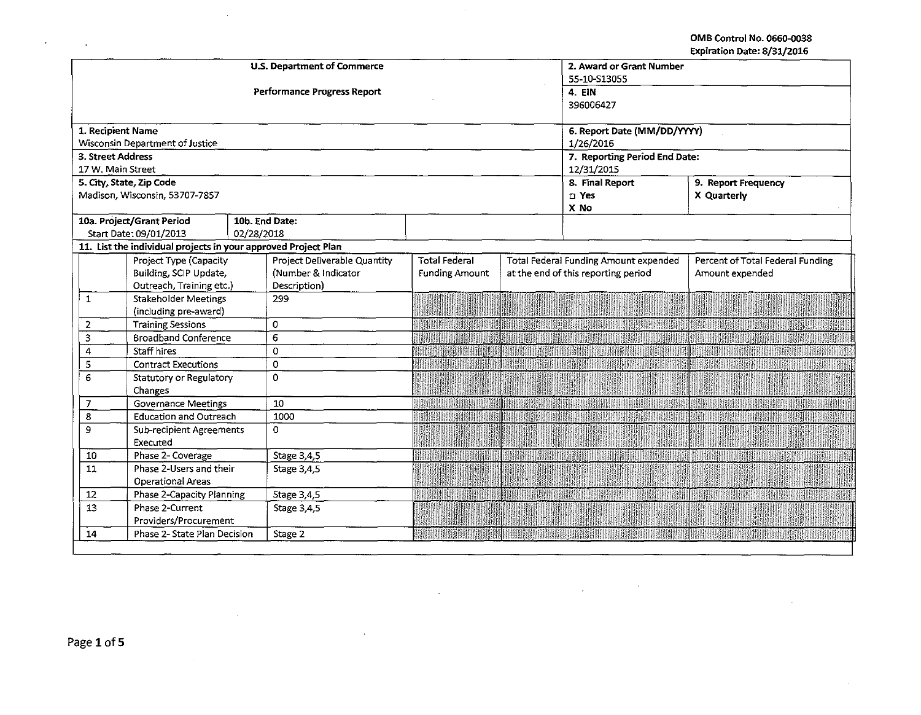OMB Control No. 066D-0038 Expiration Date: 8/31/2016

|                   |                                                                                          | U.S. Department of Commerce  |                       |             | 2. Award or Grant Number              |                                  |  |
|-------------------|------------------------------------------------------------------------------------------|------------------------------|-----------------------|-------------|---------------------------------------|----------------------------------|--|
|                   |                                                                                          |                              | 55-10-S13055          |             |                                       |                                  |  |
|                   |                                                                                          | Performance Progress Report  | 4. EIN                |             |                                       |                                  |  |
|                   |                                                                                          |                              |                       |             | 396006427                             |                                  |  |
| 1. Recipient Name |                                                                                          |                              |                       |             | 6. Report Date (MM/DD/YYYY)           |                                  |  |
|                   | Wisconsin Department of Justice                                                          |                              |                       |             | 1/26/2016                             |                                  |  |
| 3. Street Address |                                                                                          |                              |                       |             | 7. Reporting Period End Date:         |                                  |  |
| 17 W. Main Street |                                                                                          |                              |                       |             | 12/31/2015                            |                                  |  |
|                   | 5. City, State, Zip Code                                                                 |                              |                       |             | 8. Final Report                       | 9. Report Frequency              |  |
|                   | Madison, Wisconsin, 53707-7857                                                           |                              | n Yes                 | X Quarterly |                                       |                                  |  |
|                   |                                                                                          |                              |                       |             | X No                                  |                                  |  |
|                   | 10a. Project/Grant Period                                                                | 10b. End Date:               |                       |             |                                       |                                  |  |
|                   | Start Date: 09/01/2013<br>11. List the individual projects in your approved Project Plan | 02/28/2018                   |                       |             |                                       |                                  |  |
|                   | Project Type (Capacity                                                                   | Project Deliverable Quantity | <b>Total Federal</b>  |             | Total Federal Funding Amount expended | Percent of Total Federal Funding |  |
|                   | Building, SCIP Update,                                                                   | (Number & Indicator          | <b>Funding Amount</b> |             | at the end of this reporting period   | Amount expended                  |  |
|                   | Outreach, Training etc.)                                                                 | Description)                 |                       |             |                                       |                                  |  |
| $\mathbf{1}$      | <b>Stakeholder Meetings</b>                                                              | 299                          |                       |             |                                       |                                  |  |
|                   | (including pre-award)                                                                    |                              |                       |             |                                       |                                  |  |
| 2                 | <b>Training Sessions</b>                                                                 | 0                            |                       |             |                                       |                                  |  |
| 3                 | <b>Broadband Conference</b>                                                              | 6                            |                       |             |                                       |                                  |  |
| 4                 | Staff hires                                                                              | 0                            |                       |             |                                       |                                  |  |
| 5                 | <b>Contract Executions</b>                                                               | 0                            |                       |             |                                       |                                  |  |
| 6                 | Statutory or Regulatory                                                                  | 0                            |                       |             |                                       |                                  |  |
|                   | Changes                                                                                  |                              |                       |             |                                       |                                  |  |
| $\overline{7}$    | <b>Governance Meetings</b>                                                               | 10 <sup>7</sup>              |                       |             |                                       |                                  |  |
| 8                 | <b>Education and Outreach</b>                                                            | 1000                         |                       |             |                                       |                                  |  |
| $\mathbf{9}$      | <b>Sub-recipient Agreements</b>                                                          | $\Omega$                     |                       |             |                                       |                                  |  |
| 10                | Executed<br>Phase 2- Coverage                                                            | Stage 3,4,5                  |                       |             |                                       |                                  |  |
| 11                | Phase 2-Users and their                                                                  |                              |                       |             |                                       |                                  |  |
|                   | <b>Operational Areas</b>                                                                 | Stage 3,4,5                  |                       |             |                                       |                                  |  |
| 12                | Phase 2-Capacity Planning                                                                | Stage 3,4,5                  |                       |             |                                       |                                  |  |
| 13                | Phase 2-Current                                                                          | Stage 3,4,5                  |                       |             |                                       |                                  |  |
|                   | Providers/Procurement                                                                    |                              |                       |             |                                       |                                  |  |
| 14                | Phase 2- State Plan Decision                                                             | Stage 2                      |                       |             |                                       |                                  |  |
|                   |                                                                                          |                              |                       |             |                                       |                                  |  |

 $\mathcal{A}$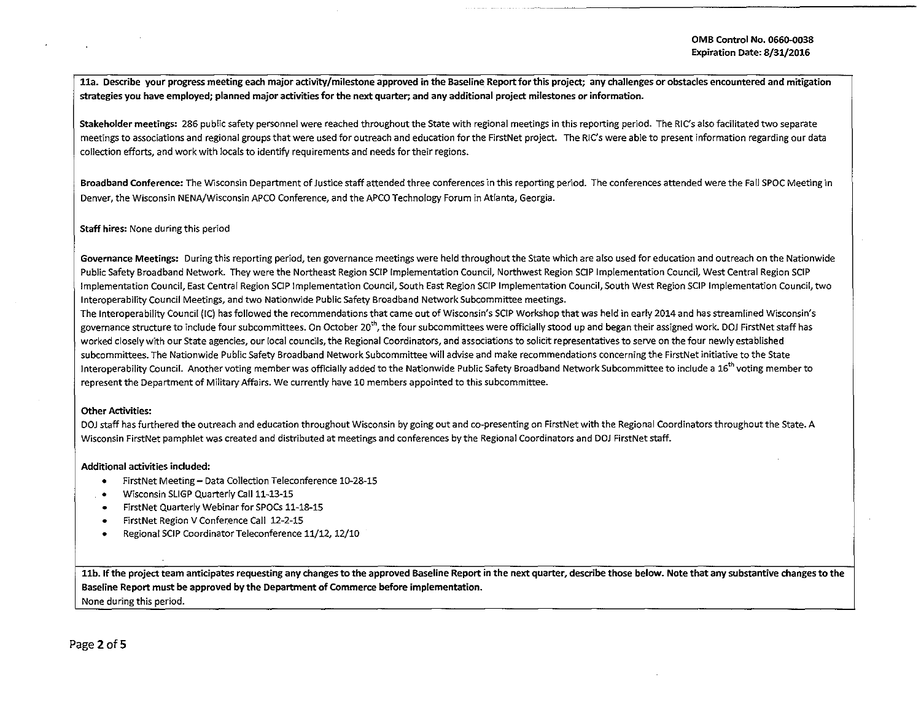lla. Describe your progress meeting each major activity/milestone approved in the Baseline Report for this project; any challenges or obstacles encountered and mitigation strategies you have employed; planned major activities for the next quarter; and any additional project milestones or information.

Stakeholder meetings: 286 public safety personnel were reached throughout the State with regional meetings in this reporting period. The RIC's also facilitated two separate meetings to associations and regional groups that were used for outreach and education for the FirstNet project. The RIC's were able to present information regarding our data collection efforts, and work with locals to identify requirements and needs for their regions.

Broadband Conference: The Wisconsin Department of Justice staff attended three conferences in this reporting period. The conferences attended were the Fall SPOC Meeting in Denver, the Wisconsin NENA/Wisconsin APCO Conference, and the APCO Technology Forum in Atlanta, Georgia.

# Staff hires: None during this period

Governance Meetings: During this reporting period, ten governance meetings were held throughout the State which are also used for education and outreach on the Nationwide Public Safety Broadband Network. They were the Northeast Region SCIP Implementation Council, Northwest Region SCIP Implementation Council, West Central Region SCIP Implementation Council, East Central Region SCIP Implementation Council, South East Region SCIP Implementation Council, South West Region SCIP Implementation Council, two lnteroperability Council Meetings, and two Nationwide Public Safety Broadband Network Subcommittee meetings.

The lnteroperability Council (!C) has followed the recommendations that came out of Wisconsin's SCIP Workshop that was held in early 2014 and has streamlined Wisconsin's governance structure to include four subcommittees. On October 20<sup>th</sup>, the four subcommittees were officially stood up and began their assigned work. DOJ FirstNet staff has worked closely with our State agencies, our local councils, the Regional Coordinators, and associations to solicit representatives to serve on the four newly established subcommittees. The Nationwide Public Safety Broadband Network Subcommittee will advise and make recommendations concerning the FirstNet initiative to the State Interoperability Council. Another voting member was officially added to the Nationwide Public Safety Broadband Network Subcommittee to include a 16<sup>th</sup> voting member to represent the Department of Military Affairs. We currently have 10 members appointed to this subcommittee.

## Other Activities:

DOJ staff has furthered the outreach and education throughout Wisconsin by going out and co-presenting on FirstNet with the Regional Coordinators throughout the State. A Wisconsin FirstNet pamphlet was created and distributed at meetings and conferences by the Regional Coordinators and DOJ FirstNet staff.

#### Additional activities included:

- FirstNet Meeting- Data Collection Teleconference 10-28-15
- Wisconsin SLIGP Quarterly Call 11-13-15
- FirstNet Quarterly Webinar for SPOCs 11-18-15
- FirstNet Region V Conference Call 12-2-15
- Regional SCIP Coordinator Teleconference 11/12, 12/10

11b. If the project team anticipates requesting any changes to the approved Baseline Report in the next quarter, describe those below. Note that any substantive changes to the Baseline Report must be approved by the Department of Commerce before implementation. None during this period.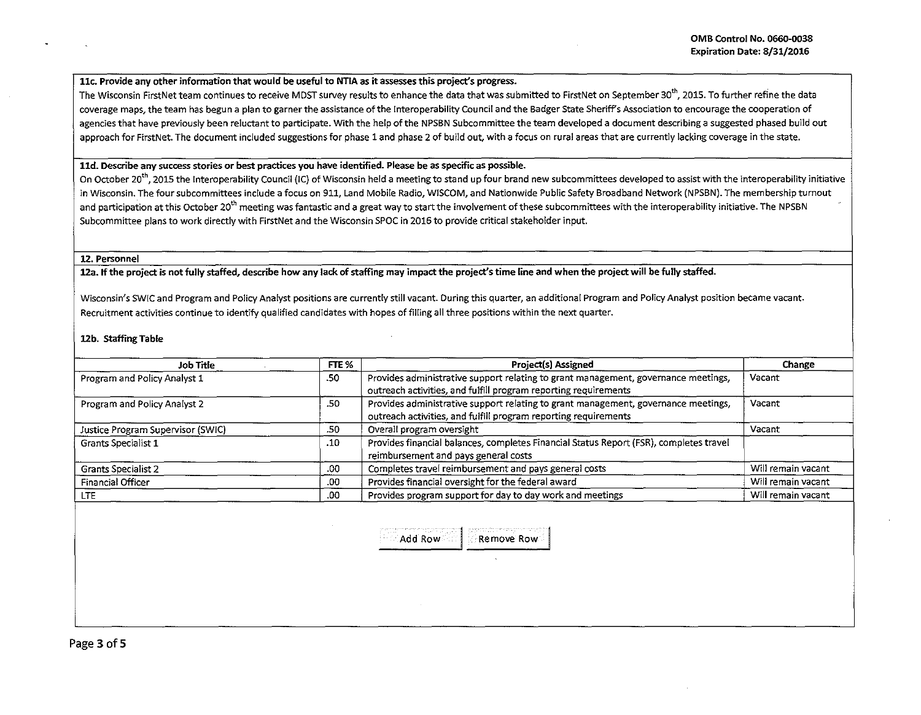## <sup>I</sup>llc. Provide any other information that would be useful to NTIA as it assesses this project's progress.

The Wisconsin FirstNet team continues to receive MDST survey results to enhance the data that was submitted to FirstNet on September 30<sup>th</sup>, 2015. To further refine the data coverage maps, the team has begun a plan to garner the assistance of the lnteroperability Council and the Badger State Sheriffs Association to encourage the cooperation of agencies that have previously been reluctant to participate. With the help of the NPSBN Subcommittee the team developed a document describing a suggested phased build out approach for FirstNet. The document included suggestions for phase 1 and phase 2 of build out, with a focus on rural areas that are currently lacking coverage in the state.

## lld. Describe any success stories or best practices you have identified. Please be as specific as possible. <sup>~</sup>

On October 20<sup>th</sup>, 2015 the Interoperability Council (IC) of Wisconsin held a meeting to stand up four brand new subcommittees developed to assist with the interoperability initiative in Wisconsin. The four subcommittees include a focus on 911, Land Mobile Radio, WISCOM, and Nationwide Public Safety Broadband Network (NPSBN). The membership turnout and participation at this October 20<sup>th</sup> meeting was fantastic and a great way to start the involvement of these subcommittees with the interoperability initiative. The NPSBN Subcommittee plans to work directly with FirstNet and the Wisconsin SPOC in 2016 to provide critical stakeholder input.

#### 12. Personnel

12a. If the project is not fully staffed, describe how any lack of staffing may impact the project's time line and when the project will be fully staffed.

Wisconsin's SWIC and Program and Policy Analyst positions are currently still vacant. During this quarter, an additional Program and Policy Analyst position became vacant. Recruitment activities continue to identify qualified candidates with hopes of filling all three positions within the next quarter.

### 12b. Staffing Table

| Job Title                         | FTE % | Project(s) Assigned                                                                                                                                   | Change             |
|-----------------------------------|-------|-------------------------------------------------------------------------------------------------------------------------------------------------------|--------------------|
| Program and Policy Analyst 1      | .50   | Provides administrative support relating to grant management, governance meetings,<br>outreach activities, and fulfill program reporting requirements | Vacant             |
| Program and Policy Analyst 2      | .50   | Provides administrative support relating to grant management, governance meetings,<br>outreach activities, and fulfill program reporting requirements | Vacant             |
| Justice Program Supervisor (SWIC) | .50   | Overall program oversight                                                                                                                             | Vacant             |
| Grants Specialist 1               | .10   | Provides financial balances, completes Financial Status Report (FSR), completes travel<br>reimbursement and pays general costs                        |                    |
| <b>Grants Specialist 2</b>        | .00   | Completes travel reimbursement and pays general costs                                                                                                 | Will remain vacant |
| <b>Financial Officer</b>          | .00   | Provides financial oversight for the federal award                                                                                                    | Will remain vacant |
| LTE.                              | .00   | Provides program support for day to day work and meetings                                                                                             | Will remain vacant |

Add Row I Remove Row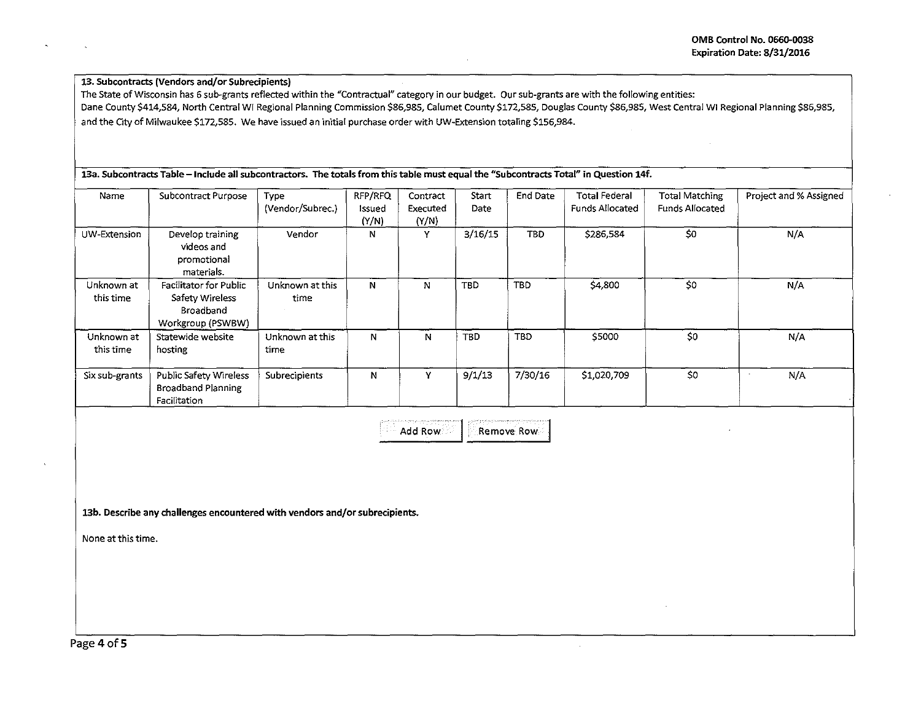# 13. Subcontracts (Vendors and/or Subrecipients}

The State of Wisconsin has 6 sub-grants reflected within the "Contractual" category in our budget. Our sub-grants are with the following entities: Dane County \$414,584, North Central WI Regional Planning Commission \$86,985, calumet County \$172,585, Douglas County \$86,985, West Central WI Regional Planning \$86,985, and the City of Milwaukee \$172,585. We have issued an initial purchase order with UW-Extension totaling \$156,984.

# 13a. Subcontracts Table -Include all subcontractors. The totals from this table must equal the "Subcontracts Total" in Question 14f.

| Name                    | Subcontract Purpose                                                                | Type<br>(Vendor/Subrec.) | RFP/RFQ<br>Issued<br>(Y/N) | Contract<br>Executed<br>(Y/N) | Start<br>Date | End Date   | <b>Total Federal</b><br><b>Funds Allocated</b> | <b>Total Matching</b><br><b>Funds Allocated</b> | Project and % Assigned |
|-------------------------|------------------------------------------------------------------------------------|--------------------------|----------------------------|-------------------------------|---------------|------------|------------------------------------------------|-------------------------------------------------|------------------------|
| UW-Extension            | Develop training<br>videos and<br>promotional<br>materials.                        | Vendor                   | N                          | Y                             | 3/16/15       | TBD.       | \$286,584                                      | \$0                                             | N/A                    |
| Unknown at<br>this time | <b>Facilitator for Public</b><br>Safety Wireless<br>Broadband<br>Workgroup (PSWBW) | Unknown at this<br>time  | N                          | N                             | TBD           | <b>TBD</b> | \$4,800                                        | \$0                                             | N/A                    |
| Unknown at<br>this time | Statewide website<br>hosting                                                       | Unknown at this<br>time  | N                          | N                             | TBD           | TBD        | \$5000                                         | \$0                                             | N/A                    |
| Six sub-grants          | Public Safety Wireless<br><b>Broadband Planning</b><br>Facilitation                | Subrecipients            | N                          | v                             | 9/1/13        | 7/30/16    | \$1,020,709                                    | \$0                                             | N/A                    |

Add Row | Remove Row

13b. Describe any challenges encountered with vendors and/or subrecipients.

None at this time.